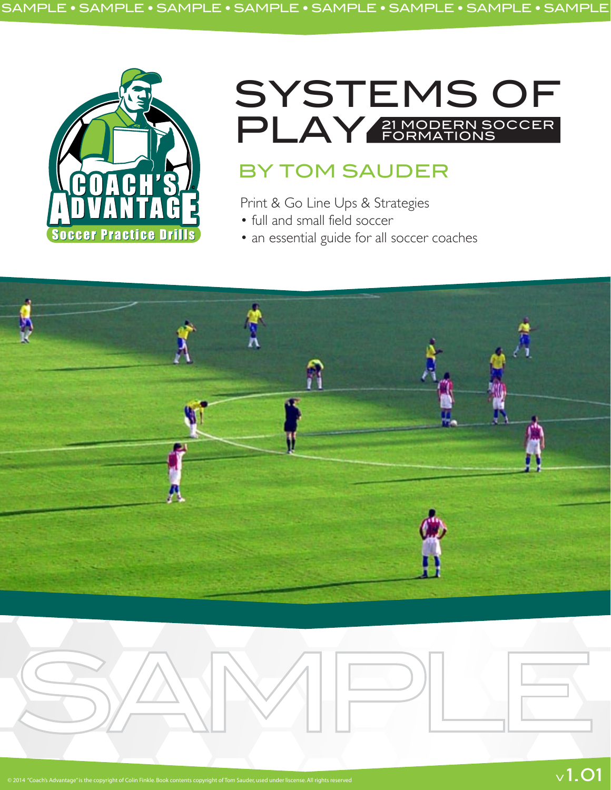

# SYSTEMS OF PLAY 21 MODERN SOCCER FORMATIONS

# BY TOM SAUDER

Print & Go Line Ups & Strategies

- full and small field soccer
- an essential guide for all soccer coaches

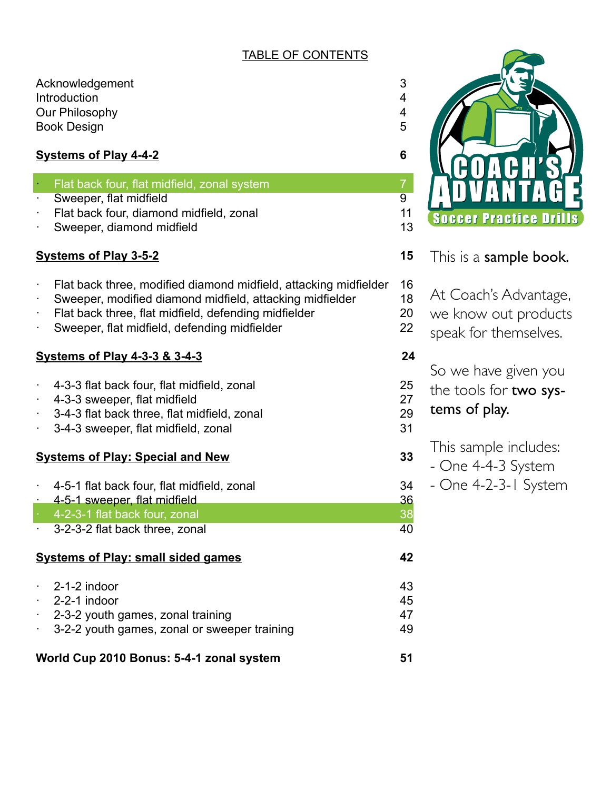# TABLE OF CONTENTS

Acknowledgement 3<br>
Introduction 4 **Introduction** Our Philosophy 4 Book Design 5

# **Systems of Play 4-4-2 6**

- Flat back four, flat midfield, zonal system **7** and  $\overline{7}$
- **Sweeper, flat midfield 9 and 9 and 9 and 9 and 9 and 9 and 9 and 9 and 9 and 9 and 9 and 9 and 9 and 9 and 9 and 9 and 9 and 9 and 9 and 9 and 9 and 9 and 9 and 9 and 9 and 9 and 9 and 9 and 9 and 9 and 9 and 9 and 9 and**
- Flat back four, diamond midfield, zonal 11
- **Sweeper, diamond midfield 13** and 13

# **Systems of Play 3-5-2 15**

- Flat back three, modified diamond midfield, attacking midfielder 16
- Sweeper, modified diamond midfield, attacking midfielder 18
- Flat back three, flat midfield, defending midfielder 20
- Sweeper, flat midfield, defending midfielder 22

# **Systems of Play 4-3-3 & 3-4-3 24**

- · 4-3-3 flat back four, flat midfield, zonal 25
- · 4-3-3 sweeper, flat midfield 27
- 3-4-3 flat back three, flat midfield, zonal 29
- 3-4-3 sweeper, flat midfield, zonal 31

# **Systems of Play: Special and New 33**

- · 4-5-1 flat back four, flat midfield, zonal 34
- 4-5-1 sweeper, flat midfield 36
- · 4-2-3-1 flat back four, zonal 38
- 3-2-3-2 flat back three, zonal 40

## **Systems of Play: small sided games 42**

| $\cdot$ 2-1-2 indoor                         | 43 |
|----------------------------------------------|----|
| $\cdot$ 2-2-1 indoor                         | 45 |
| $\cdot$ 2-3-2 youth games, zonal training    | 47 |
| 3-2-2 youth games, zonal or sweeper training | 49 |
|                                              |    |

**World Cup 2010 Bonus: 5-4-1 zonal system 51**



- This is a sample book.
- At Coach's Advantage,
- we know out products
- speak for themselves.

So we have given you

- the tools for two sys-
- tems of play.
	- This sample includes:
	- One 4-4-3 System
	- One 4-2-3-1 System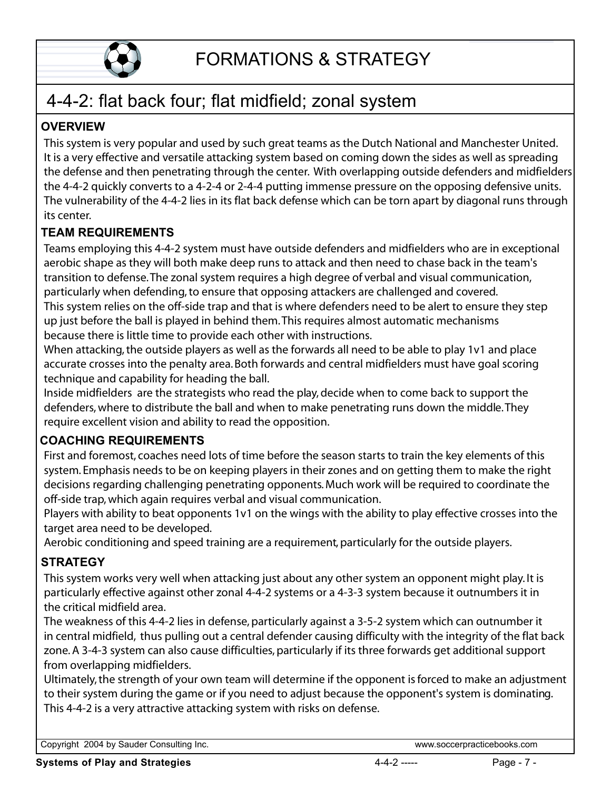

#### 4-4-2: flat back four; flat midfield; zonal system The vulnerability of the 4-4-2 lies in its flat back defense which can be torn apart by diagonal runs through $4 - 4 - 2$ .

# **OVERVIEW**

This system is very popular and used by such great teams as the Dutch National and Manchester United. It is a very effective and versatile attacking system based on coming down the sides as well as spreading the array and then penetrating through the center. With overlapping outside defenders and midfielder. The vulnerability of the 4-4-2 lies in its flat back defense which can be torn apart by diagonal runs through It is a very effective and versatile attacking system based on coming down the sides as well as spread the defense and then penetrating through the center. With overlapping outside defenders and midtion the 4-4-2 quickly c  $p_{\text{max}}$  and  $p_{\text{max}}$  are changed at the  $p_{\text{max}}$  or  $p_{\text{max}}$  or  $p_{\text{max}}$  are challenged and composing defending and covered. its conter

## **TEAM REQUIREMENTS** because there is little time to provide each other with instructions.

LAM NEQUINEMENTU<br>Teams employing this 4-4-2 system must have outside defenders and midfielders who are in exceptional technique and capability for heading the ball.Indistribution to defense. The zonal system requires a high degree of verbal and visual communication, particularly when defending, to ensure that opposing attackers are challenged and covered.<br>The middle of the middle of the middle middle.They are middle to middle.They are middle. rhis system refles on the off-side trap and that is where defenders need to be alert to ensure they step up just before the ball is played in behind them. This requires almost automatic mechanisms because there is little time to provide each other with instructions. reams employing this 4-4-2 system must have outside defenders and midfielders who are in exceptive

When attacking, the outside players as well as the forwards all need to be able to play 1v1 and place accurate crosses into the penalty area. Both forwards and central midfielders must have goal scoring dechnique and capability for heading the ball.

Inside midfielders are the strategists who read the play, decide when to come back to support the defenders, where to distribute the ball and when to make penetrating runs down the middle. They require excellent vision and ability to read the opposition.  $\overline{\phantom{a}}$ 

# **COACHING REQUIREMENTS**

First and foremost, coaches need lots of time before the season starts to train the key elements of this system. Emphasis needs to be on keeping players in their zones and on getting them to make the right decisions regarding challenging penetrating opponents. Much work will be reguired to coordinate the off-side trap, which again reguires verbal and visual communication.

Players with ability to beat opponents 1v1 on the wings with the ability to play effective crosses into the in central midfield, thus pulling out a central defender causing difficulty with the integrity of the flat back

A 3-4-3-4-3 A 3-4-3 system cand a 3-4-3 system care also cause a sequirement, particularly for the outside players.

## **STRATEGY**  $\frac{1}{2}$

UINATEST<br>This system works very well when attacking just about any other system an opponent might play. It is This 4-4-2 is a very attractive attacking system with risks on defense.

The weakness of this 4-4-2 lies in defense, particularly against a 3-5-2 system which can outnumber it zone. A 3-4-3 system can also cause difficulties, particularly if its three forwards get additional support from overlapping midfielders. This system works very well when attacking just about any other system an opponent might play. It is<br>particularly effective against other zonal 4-4-2 systems or a 4-3-3 system because it outnumbers it in<br>the critical midfi

Ultimately, the strength of your own team will determine if the opponent is forced to make an adjustment to their system during the game or if you need to adjust because the opponent's system is dominating. This 4-4-2 is a very attractive attacking system with risks on defense.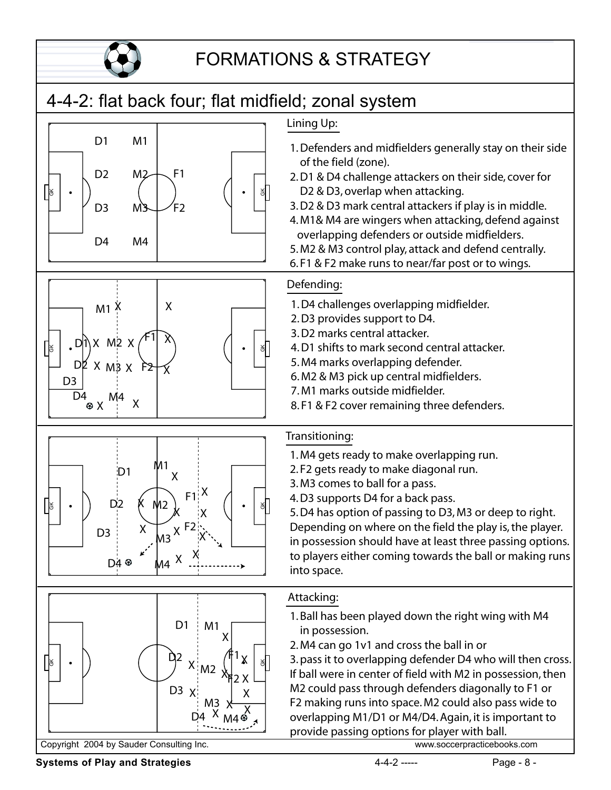

## FORMATIONS & STRATEGY  $2.00 \, \alpha$  din  $\alpha$  characters for the side of the side of the side of  $\alpha$

## 4-4-2: flat back four; flat midfield; zonal system  $\alpha$ , zonar oyotom









# overlapping defenders or outside middle middle middle middle middle middle middle middle middle middle middle

1. Defenders and midfielders generally stay on their side T. Defenders and midlielders generally stay on the

1. Defenders and midfielders generally stay on their side

- 2. D1 & D4 challenge attackers on their side, cover for D2 & D3, overlap when attacking.
- 3. D2 & D3 mark central attackers if play is in middle.
- 4. M1& M4 are wingers when attacking, defend against overlapping defenders or outside midfielders.
- 5. M2 & M3 control play, attack and defend centrally.
- 6.F1 & F2 make runs to near/far post or to wings.

# 7. M1 marks outside midfielder.

- <u>**ENET BEE COVER**</u><br>1. D4 challenges overlapping midfielder.
- 2. D3 provides support to D4.
- z. *D*<sub>2</sub> provides support to *D*.<br>3. D2 marks central attacker.
- 4. D1 shifts to mark second central attacker.
- 5. M4 marks overlapping defender.

D2 & D3, overlap when attacking.

- $6. M2$  & M3 pick up central midfielders.
- 7. M1 marks outside midfielder.
- 8. F1 & F2 cover remaining three defenders. Depending on where on the field the play is, the player.

# in possession show that is a least three passing options.

- $\frac{1}{100}$  are ball or players the ball overlapping run. i.wegets
- 2.F2 gets ready to make diagonal run.
- 3. M3 comes to ball for a pass.
- 4. D3 supports D4 for a back pass.

1. Ball supports B 1101 a Back pass.<br>5. D4 has option of passing to D3, M3 or deep to right. 3. Be has option or passing to BS, MS or deep to hynt.<br>Depending on where on the field the play is, the player. bepending on where on the neid the play is, the player.<br>in possession should have at least three passing options. ar possession should have at least three passing options.<br>to players either coming towards the ball or making runs into space. If ball were in coming towards the ball of making full to prove  $M<sub>1</sub>$  could pass the  $1/2$  or  $F<sub>1</sub>$  or  $F<sub>1</sub>$  or  $F<sub>1</sub>$  or  $F<sub>1</sub>$  or  $F<sub>1</sub>$  or  $F<sub>1</sub>$  or  $F<sub>1</sub>$  or  $F<sub>1</sub>$  or  $F<sub>1</sub>$  or  $F<sub>1</sub>$  or  $F<sub>1</sub>$  or  $F<sub>1</sub>$  or  $F<sub>1</sub>$  or  $F$ 

## Attacking:  $\Delta$ ttacking runs into space. Making  $\alpha$

- <u>wave solid manages and the manages of the manages of the M4</u><br>1. Ball has been played down the right wing with M4 in possession. provide pay the passive option of the plane with ball.<br>In pair idea to plane the ball of plane with ball.
- 2. M4 can go 1v1 and cross the ball in or

3. pass it to overlapping defender D4 who will then cross. If ball were in center of field with M2 in possession, then M2 could pass through defenders diagonally to F1 or F2 making runs into space. M2 could also pass wide to overlapping M1/D1 or M4/D4. Again, it is important to provide passing options for player with ball.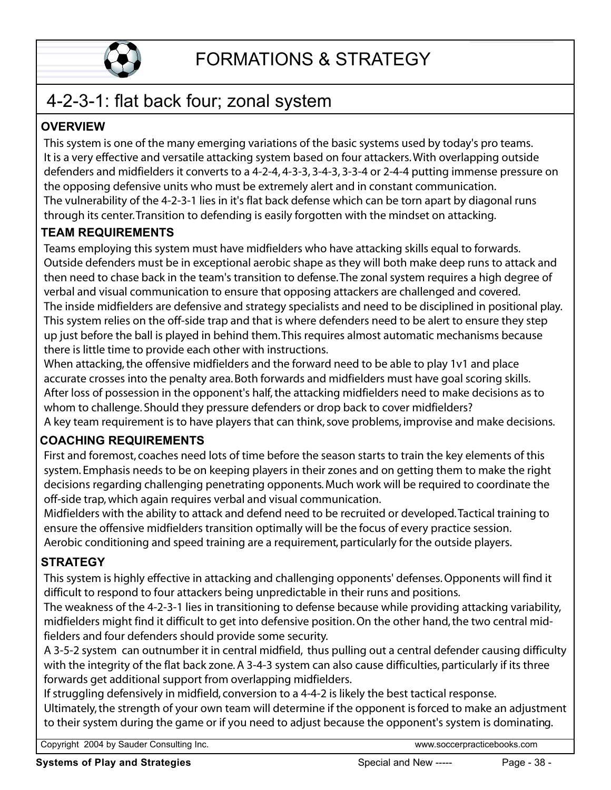

# 4-2-3-1: flat back four; zonal system FORMATIONS & STRATEGY<br>4-2-3-1: flat back four; zonal system<br>Expressions of the manuscripture of the basic system of the basic system

# **OVERVIEW**

This system is one of the many emerging variations of the basic systems used by today's pro teams. outside defective and versatile attacking system based on four attackers. With overlapping outside defenders and midfielders it converts to a 4-2-4, 4-3-3, 3-4-3, 3-3-4 or 2-4-4 putting immense pressure on the opposing defensive units who must be extremely alert and in constant communication. 4-2-3-1: flat back four; zonal system<br>
DVERVIEW<br>
This system is one of the many emerging variations of the basic systems used by today's pro teams.<br>
It is a very effective and versatile attacking system based on four attac The vulnerability of the 4-2-3-1 lies in it's flat back defense which can be torn apart by diagonal runs through its center. Transition to defending is easily forgotten with the mindset on attacking. defenders and midfielders it converts to a 4-2-4, 4-3-3, 3-4-3, 3-3-4 or 2-4-4 putting immense pressure of the opposing defensive units who must be extremely alert and in constant communication.<br>The vulnerability of the 4- $\mathbf{F}$  is played in before the ball is played in behind the mechanisms because  $\mathbf{F}$ 

# **TEAM REQUIREMENTS**

**EXIM INDROIN DIMENTS**<br>Teams employing this system must have midfielders who have attacking skills equal to forwards. then need to chase back in the team's transition to defense. The zonal system requires a high degree of whom to challenge. Should they pressure defenders or drop back to cover midfielders?The inside midlielders are defensive and strategy specialists and need to be disciplined in positional play.<br>— This system relies on the off-side trap and that is where defenders need to be alert to ensure they step up just before the ball is played in behind them. This requires almost automatic mechanisms because  $\frac{1}{2}$  first and foremost  $\frac{1}{2}$  of time beach other with instructions. Teams employing this system must have midifielders who have attacking skills equal to forwards. then need to chase back in the team's transition to defense. The zonar system requires a high degree of verbal and visual communication to ensure that opposing attackers are challenged and covered.<br>The inside midfielders a

When attacking, the offensive midfielders and the forward need to be able to play 1v1 and place After loss of possession in the opponent's half, the attacking midfielders need to make decisions as to whom to challenge. Should they pressure defenders or drop back to cover midfielders? A key team requirement is to have players that can think, sove problems, improvise and make decisions. decrivate crosses into the nenalty area Both forwards and midfielders must have goal scoring skills

## **COACHING REQUIREMENTS**  $\begin{bmatrix} 1 & 1 & 1 \\ 1 & 1 & 1 \\ 1 & 1 & 1 \end{bmatrix}$

First and foremost, coaches need lots of time before the season starts to train the key elements of this system. Emphasis needs to be on keeping players in their zones and on getting them to make the right decisions regarding challenging penetrating opponents. Much work will be reguired to coordinate the off-side trap, which again reguires verbal and visual communication. system. Emphasis needs to be on keeping players in their zones and on getting them to make the right<br>decisions regarding challenging penetrating opponents. Much work will be required to coordinate the<br>off-side trap, which

Midfielders with the ability to attack and defend need to be recruited or developed. Tactical training to ensure the offensive midfielders transition optimally will be the focus of every practice session. Aerobic conditioning and speed training are a requirement, particularly for the outside players.

#### **STRATEGY** with the integrity of the flat back zone. A 3-4-3 system can also cause difficulties, particularly if its three cause difficulties, particularly if its three cause difficulties, particularly if its three cause of its three

511.<br>This system is highly effective in attacking and challenging opponents' defenses. Opponents will find i<sup>.</sup> Ultimately, the strength of your own team will determine if the opponent is forced to make an adjustmentThis system is nightly effective in attacking and challenging opponents' defenses. Opponent

The weakness of the 4-2-3-1 lies in transitioning to defense because while providing attacking variability, fielders and four defenders should provide some security.

A 3-5-2 system can outnumber it in central midfield, thus pulling out a central defender causing difficulty with the integrity of the flat back zone. A 3-4-3 system can also cause difficulties, particularly if its three forwards get additional support from overlapping midfielders. The weakness of the 4-2-5-1 lies in transitioning to defense because while providing attacking variability<br>midfielders might find it difficult to get into defensive position. On the other hand, the two central mid-<br>fielder

If struggling defensively in midfield, conversion to a 4-4-2 is likely the best tactical response. Ultimately, the strength of your own team will determine if the opponent is forced to make an adjustment